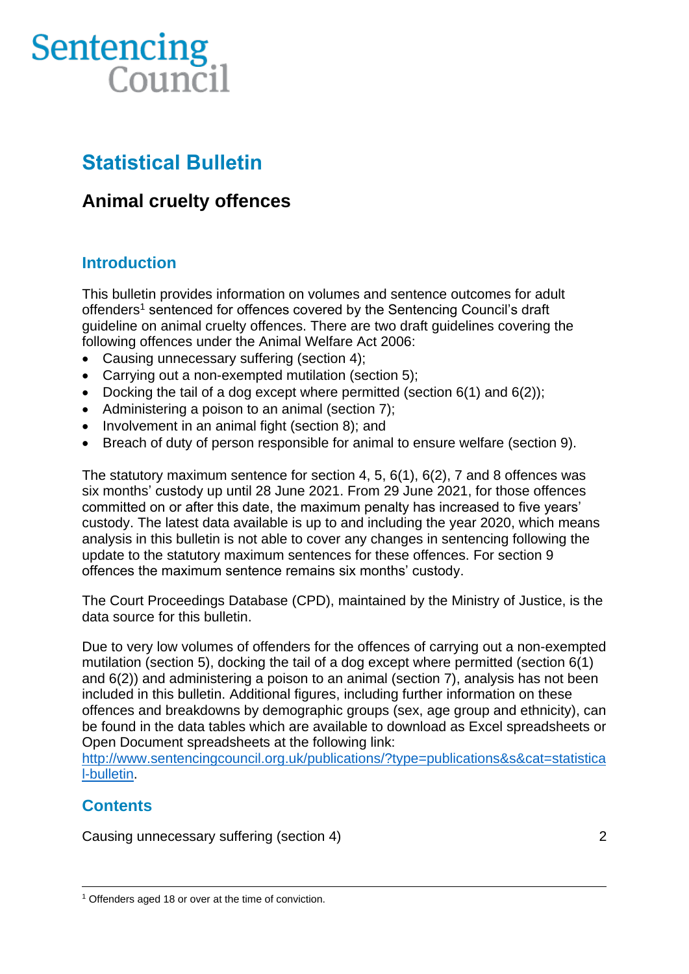# Sentencing Council

# **Statistical Bulletin**

## **Animal cruelty offences**

## **Introduction**

This bulletin provides information on volumes and sentence outcomes for adult offenders<sup>1</sup> sentenced for offences covered by the Sentencing Council's draft guideline on animal cruelty offences. There are two draft guidelines covering the following offences under the Animal Welfare Act 2006:

- Causing unnecessary suffering (section 4);
- Carrying out a non-exempted mutilation (section 5);
- Docking the tail of a dog except where permitted (section  $6(1)$  and  $6(2)$ );
- Administering a poison to an animal (section 7);
- Involvement in an animal fight (section 8); and
- Breach of duty of person responsible for animal to ensure welfare (section 9).

The statutory maximum sentence for section 4, 5, 6(1), 6(2), 7 and 8 offences was six months' custody up until 28 June 2021. From 29 June 2021, for those offences committed on or after this date, the maximum penalty has increased to five years' custody. The latest data available is up to and including the year 2020, which means analysis in this bulletin is not able to cover any changes in sentencing following the update to the statutory maximum sentences for these offences. For section 9 offences the maximum sentence remains six months' custody.

The Court Proceedings Database (CPD), maintained by the Ministry of Justice, is the data source for this bulletin.

Due to very low volumes of offenders for the offences of carrying out a non-exempted mutilation (section 5), docking the tail of a dog except where permitted (section 6(1) and 6(2)) and administering a poison to an animal (section 7), analysis has not been included in this bulletin. Additional figures, including further information on these offences and breakdowns by demographic groups (sex, age group and ethnicity), can be found in the data tables which are available to download as Excel spreadsheets or Open Document spreadsheets at the following link:

[http://www.sentencingcouncil.org.uk/publications/?type=publications&s&cat=statistica](http://www.sentencingcouncil.org.uk/publications/?type=publications&s&cat=statistical-bulletin) [l-bulletin.](http://www.sentencingcouncil.org.uk/publications/?type=publications&s&cat=statistical-bulletin)

## **Contents**

Causing unnecessary suffering (section 4) 2

<sup>&</sup>lt;sup>1</sup> Offenders aged 18 or over at the time of conviction.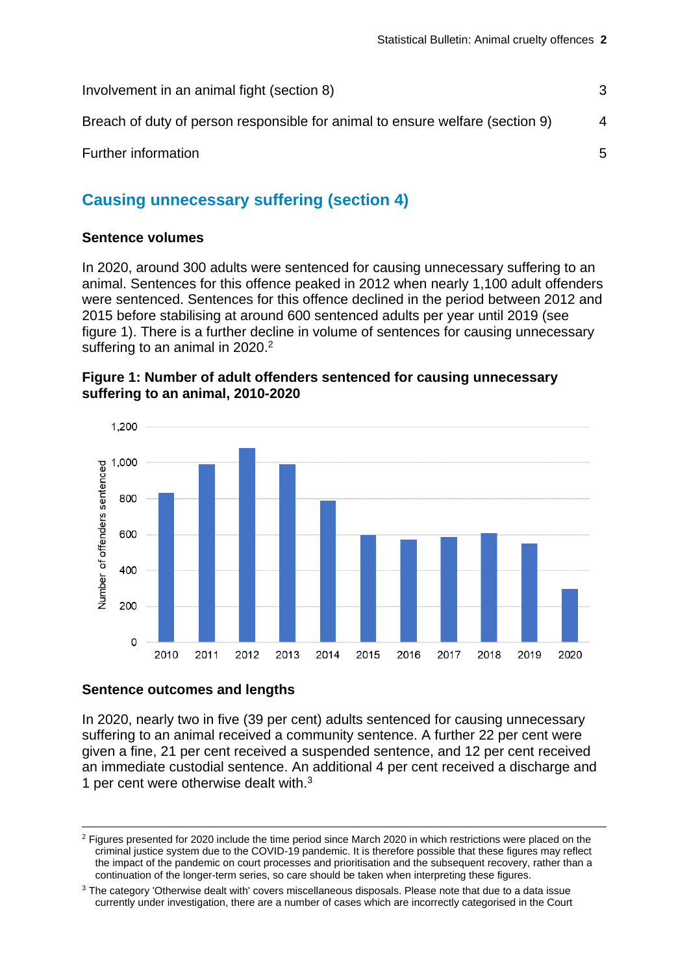| Involvement in an animal fight (section 8)                                    |   |
|-------------------------------------------------------------------------------|---|
| Breach of duty of person responsible for animal to ensure welfare (section 9) | 4 |
| Further information                                                           | 5 |

## **Causing unnecessary suffering (section 4)**

## **Sentence volumes**

In 2020, around 300 adults were sentenced for causing unnecessary suffering to an animal. Sentences for this offence peaked in 2012 when nearly 1,100 adult offenders were sentenced. Sentences for this offence declined in the period between 2012 and 2015 before stabilising at around 600 sentenced adults per year until 2019 (see figure 1). There is a further decline in volume of sentences for causing unnecessary suffering to an animal in 2020.<sup>2</sup>





## **Sentence outcomes and lengths**

In 2020, nearly two in five (39 per cent) adults sentenced for causing unnecessary suffering to an animal received a community sentence. A further 22 per cent were given a fine, 21 per cent received a suspended sentence, and 12 per cent received an immediate custodial sentence. An additional 4 per cent received a discharge and 1 per cent were otherwise dealt with. $3$ 

<span id="page-1-0"></span><sup>2</sup> Figures presented for 2020 include the time period since March 2020 in which restrictions were placed on the criminal justice system due to the COVID-19 pandemic. It is therefore possible that these figures may reflect the impact of the pandemic on court processes and prioritisation and the subsequent recovery, rather than a continuation of the longer-term series, so care should be taken when interpreting these figures.

<sup>&</sup>lt;sup>3</sup> The category 'Otherwise dealt with' covers miscellaneous disposals. Please note that due to a data issue currently under investigation, there are a number of cases which are incorrectly categorised in the Court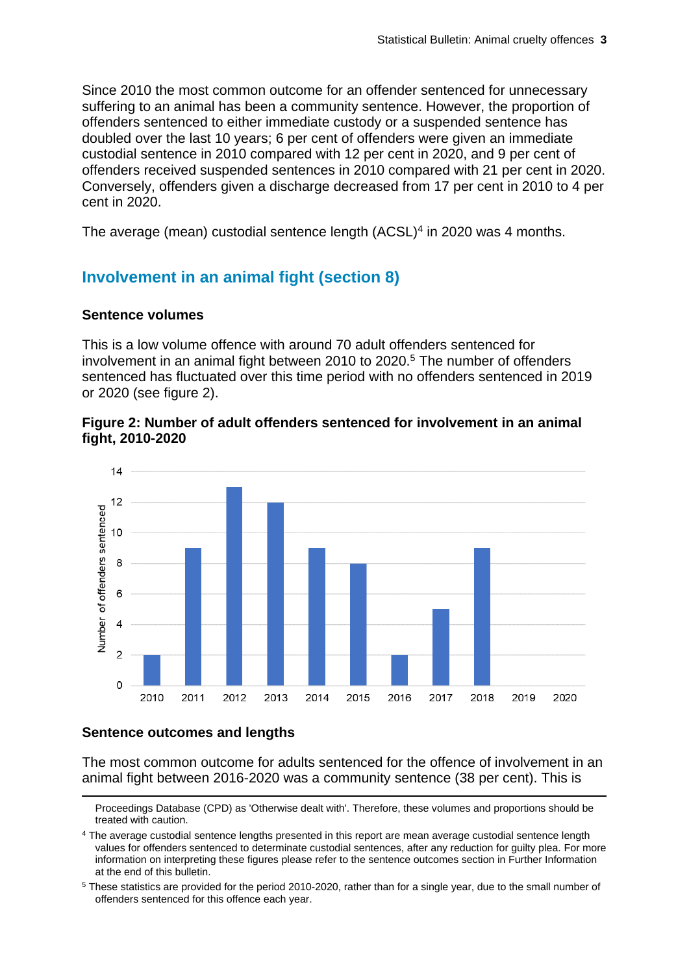Since 2010 the most common outcome for an offender sentenced for unnecessary suffering to an animal has been a community sentence. However, the proportion of offenders sentenced to either immediate custody or a suspended sentence has doubled over the last 10 years; 6 per cent of offenders were given an immediate custodial sentence in 2010 compared with 12 per cent in 2020, and 9 per cent of offenders received suspended sentences in 2010 compared with 21 per cent in 2020. Conversely, offenders given a discharge decreased from 17 per cent in 2010 to 4 per cent in 2020.

The average (mean) custodial sentence length (ACSL)<sup>4</sup> in 2020 was 4 months.

## **Involvement in an animal fight (section 8)**

#### **Sentence volumes**

This is a low volume offence with around 70 adult offenders sentenced for involvement in an animal fight between 2010 to 2020.<sup>5</sup> The number of offenders sentenced has fluctuated over this time period with no offenders sentenced in 2019 or 2020 (see figure 2).

#### **Figure 2: Number of adult offenders sentenced for involvement in an animal fight, 2010-2020**



## **Sentence outcomes and lengths**

The most common outcome for adults sentenced for the offence of involvement in an animal fight between 2016-2020 was a community sentence (38 per cent). This is

Proceedings Database (CPD) as 'Otherwise dealt with'. Therefore, these volumes and proportions should be treated with caution.

<sup>&</sup>lt;sup>4</sup> The average custodial sentence lengths presented in this report are mean average custodial sentence length values for offenders sentenced to determinate custodial sentences, after any reduction for guilty plea. For more information on interpreting these figures please refer to the sentence outcomes section in Further Information at the end of this bulletin.

<sup>5</sup> These statistics are provided for the period 2010-2020, rather than for a single year, due to the small number of offenders sentenced for this offence each year.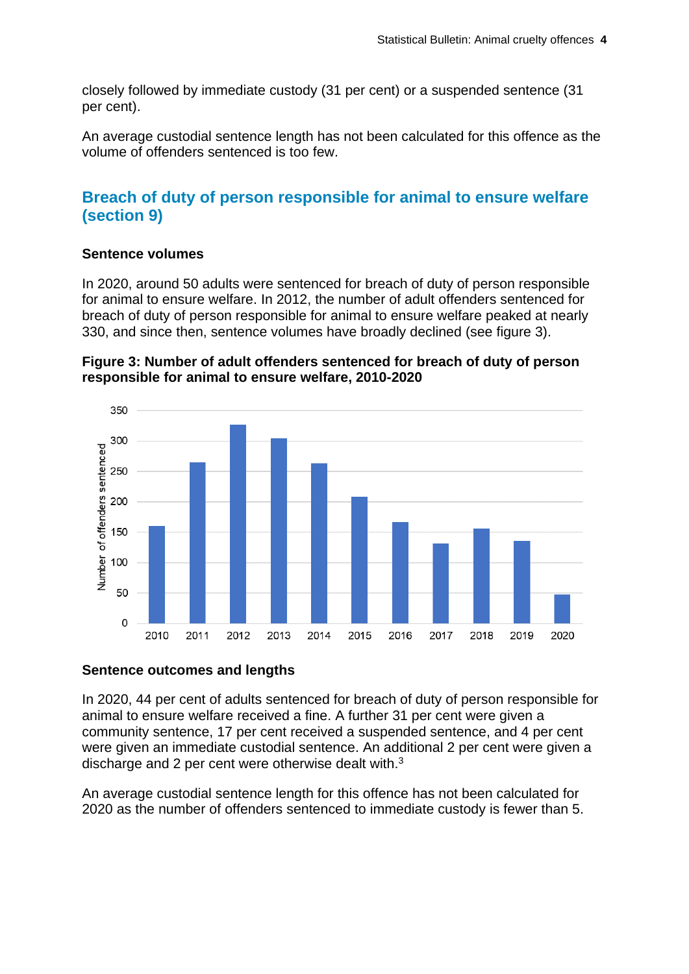closely followed by immediate custody (31 per cent) or a suspended sentence (31 per cent).

An average custodial sentence length has not been calculated for this offence as the volume of offenders sentenced is too few.

## **Breach of duty of person responsible for animal to ensure welfare (section 9)**

## **Sentence volumes**

In 2020, around 50 adults were sentenced for breach of duty of person responsible for animal to ensure welfare. In 2012, the number of adult offenders sentenced for breach of duty of person responsible for animal to ensure welfare peaked at nearly 330, and since then, sentence volumes have broadly declined (see figure 3).





## **Sentence outcomes and lengths**

In 2020, 44 per cent of adults sentenced for breach of duty of person responsible for animal to ensure welfare received a fine. A further 31 per cent were given a community sentence, 17 per cent received a suspended sentence, and 4 per cent were given an immediate custodial sentence. An additional 2 per cent were given a discharge and 2 per cent were otherwise dealt with.[3](#page-1-0)

An average custodial sentence length for this offence has not been calculated for 2020 as the number of offenders sentenced to immediate custody is fewer than 5.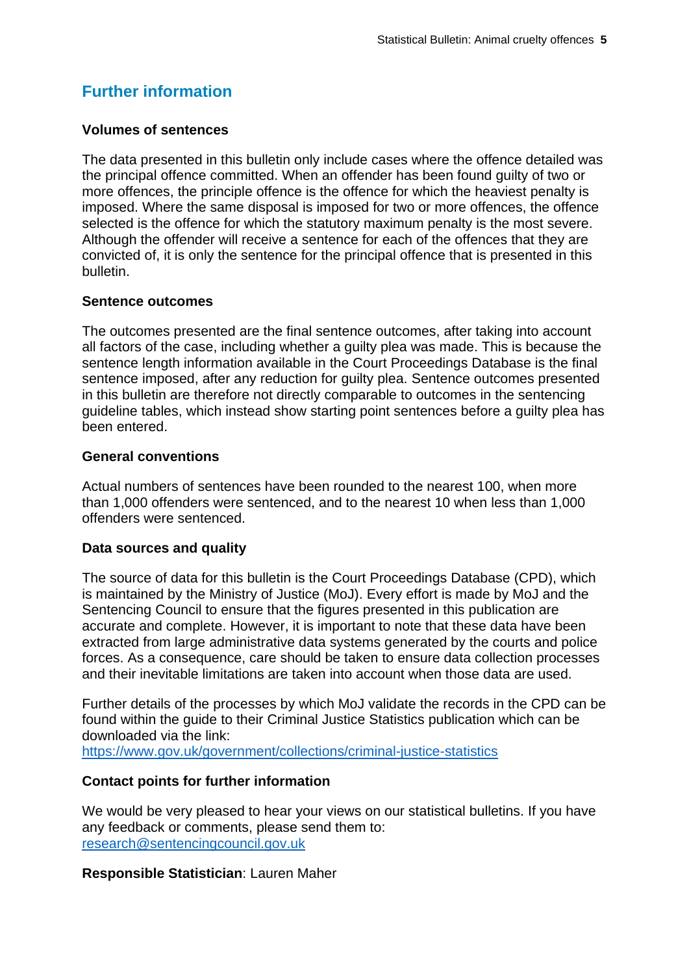## **Further information**

## **Volumes of sentences**

The data presented in this bulletin only include cases where the offence detailed was the principal offence committed. When an offender has been found guilty of two or more offences, the principle offence is the offence for which the heaviest penalty is imposed. Where the same disposal is imposed for two or more offences, the offence selected is the offence for which the statutory maximum penalty is the most severe. Although the offender will receive a sentence for each of the offences that they are convicted of, it is only the sentence for the principal offence that is presented in this bulletin.

## **Sentence outcomes**

The outcomes presented are the final sentence outcomes, after taking into account all factors of the case, including whether a guilty plea was made. This is because the sentence length information available in the Court Proceedings Database is the final sentence imposed, after any reduction for guilty plea. Sentence outcomes presented in this bulletin are therefore not directly comparable to outcomes in the sentencing guideline tables, which instead show starting point sentences before a guilty plea has been entered.

## **General conventions**

Actual numbers of sentences have been rounded to the nearest 100, when more than 1,000 offenders were sentenced, and to the nearest 10 when less than 1,000 offenders were sentenced.

## **Data sources and quality**

The source of data for this bulletin is the Court Proceedings Database (CPD), which is maintained by the Ministry of Justice (MoJ). Every effort is made by MoJ and the Sentencing Council to ensure that the figures presented in this publication are accurate and complete. However, it is important to note that these data have been extracted from large administrative data systems generated by the courts and police forces. As a consequence, care should be taken to ensure data collection processes and their inevitable limitations are taken into account when those data are used.

Further details of the processes by which MoJ validate the records in the CPD can be found within the guide to their Criminal Justice Statistics publication which can be downloaded via the link:

<https://www.gov.uk/government/collections/criminal-justice-statistics>

## **Contact points for further information**

We would be very pleased to hear your views on our statistical bulletins. If you have any feedback or comments, please send them to: [research@sentencingcouncil.gov.uk](mailto:research@sentencingcouncil.gov.uk)

## **Responsible Statistician**: Lauren Maher